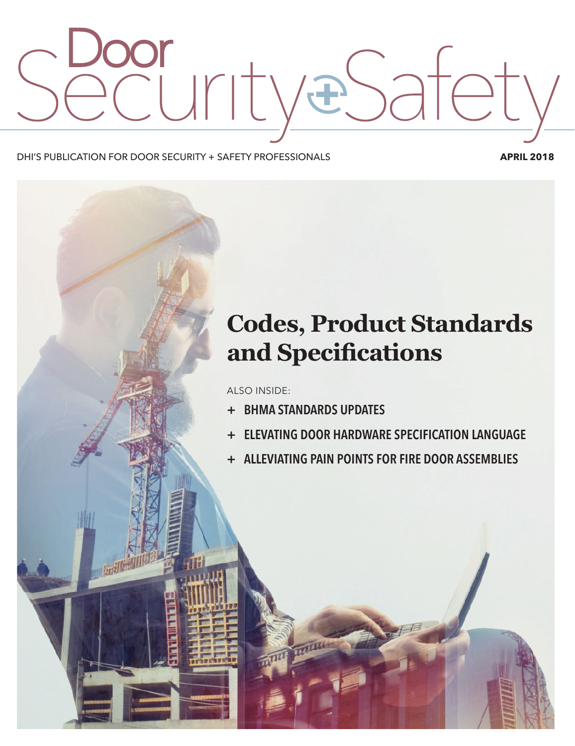# **Urity**  $\mathbf{F}$

#### DHI'S PUBLICATION FOR DOOR SECURITY + SAFETY PROFESSIONALS **APRIL 2018**

## **Codes, Product Standards**  and **Specifications**

ALSO INSIDE:

- **+ BHMA STANDARDS UPDATES**
- **+ ELEVATING DOOR HARDWARE SPECIFICATION LANGUAGE**
- **+ ALLEVIATING PAIN POINTS FOR FIRE DOOR ASSEMBLIES**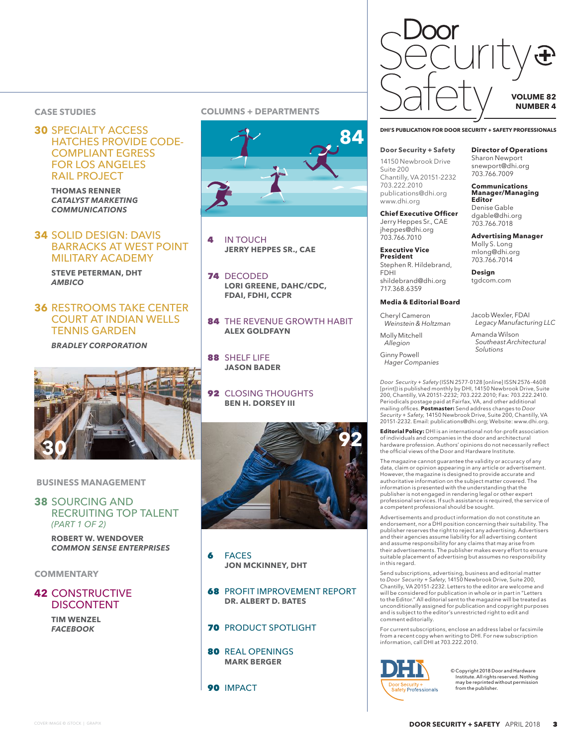#### HATCHES PROVIDE CODE-COMPLIANT EGRESS FOR LOS ANGELES RAIL PROJECT

**THOMAS RENNER**  *CATALYST MARKETING COMMUNICATIONS*

#### **34** SOLID DESIGN: DAVIS BARRACKS AT WEST POINT MILITARY ACADEMY

**STEVE PETERMAN, DHT**  *AMBICO*

#### **36** RESTROOMS TAKE CENTER COURT AT INDIAN WELLS TENNIS GARDEN

*BRADLEY CORPORATION*



#### **BUSINESS MANAGEMENT**

#### **38** SOURCING AND RECRUITING TOP TALENT *(PART 1 OF 2)*

**ROBERT W. WENDOVER**  *COMMON SENSE ENTERPRISES*

#### **COMMENTARY**

#### **42** CONSTRUCTIVE DISCONTENT

**TIM WENZEL**  *FACEBOOK*

#### **CASE STUDIES COLUMNS + DEPARTMENTS**



- **IN TOUCH JERRY HEPPES SR., CAE**
- 74 DECODED **LORI GREENE, DAHC/CDC, FDAI, FDHI, CCPR**
- 84 THE REVENUE GROWTH HABIT **ALEX GOLDFAYN**
- 88 SHELF LIFE **JASON BADER**
- **92 CLOSING THOUGHTS BEN H. DORSEY III**



- 6 FACES **JON MCKINNEY, DHT**
- **68 PROFIT IMPROVEMENT REPORT DR. ALBERT D. BATES**
- **70 PRODUCT SPOTLIGHT**
- 80 REAL OPENINGS **MARK BERGER**
- 90 IMPACT



#### **Door Security + Safety**

14150 Newbrook Drive Suite 200 Chantilly, VA 20151-2232 703.222.2010 publications@dhi.org www.dhi.org

**Chief Executive Officer** Jerry Heppes Sr., CAE jheppes@dhi.org 703.766.7010

**Executive Vice President**  Stephen R. Hildebrand, FDHI shildebrand@dhi.org 717.368.6359

#### **Media & Editorial Board**

Cheryl Cameron *Weinstein & Holtzman* Jacob Wexler, FDAI *Legacy Manufacturing LLC*

**Director of Operations**  Sharon Newport snewport@dhi.org 703.766.7009

**Communications Manager/Managing** 

**Advertising Manager**  Molly S. Long mlong@dhi.org 703.766.7014 **Design** tgdcom.com

**Editor**  Denise Gable dgable@dhi.org 703.766.7018

Amanda Wilson *Southeast Architectural Solutions* 

Ginny Powell *Hager Companies*

Molly Mitchell *Allegion*

*Door Security + Safety* (ISSN 2577-0128 [online] ISSN 2576-4608 [print]) is published monthly by DHI, 14150 Newbrook Drive, Suite 200, Chantilly, VA 20151-2232; 703.222.2010; Fax: 703.222.2410. Periodicals postage paid at Fairfax, VA, and other additional<br>mailing offices. **Postmaster:** Send address changes to *Door Security + Safety,* 14150 Newbrook Drive, Suite 200, Chantilly, VA 20151-2232. Email: publications@dhi.org; Website: www.dhi.org.

**Editorial Policy:** DHI is an international not-for-profit association of individuals and companies in the door and architectural hardware profession. Authors' opinions do not necessarily reflect the official views of the Door and Hardware Institute.

The magazine cannot guarantee the validity or accuracy of any data, claim or opinion appearing in any article or advertisement. However, the magazine is designed to provide accurate and authoritative information on the subject matter covered. The information is presented with the understanding that the publisher is not engaged in rendering legal or other expert professional services. If such assistance is required, the service of a competent professional should be sought.

Advertisements and product information do not constitute an endorsement, nor a DHI position concerning their suitability. The publisher reserves the right to reject any advertising. Advertisers and their agencies assume liability for all advertising content and assume responsibility for any claims that may arise from their advertisements. The publisher makes every effort to ensure suitable placement of advertising but assumes no responsibility in this regard.

Send subscriptions, advertising, business and editorial matter to *Door Security + Safety*, 14150 Newbrook Drive, Suite 200, Chantilly, VA 20151-2232. Letters to the editor are welcome and will be considered for publication in whole or in part in "Letters to the Editor." All editorial sent to the magazine will be treated as unconditionally assigned for publication and copyright purposes and is subject to the editor's unrestricted right to edit and comment editorially.

For current subscriptions, enclose an address label or facsimile from a recent copy when writing to DHI. For new subscription information, call DHI at 703.222.2010.



© Copyright 2018 Door and Hardware Institute. All rights reserved. Nothing may be reprinted without permission from the publisher.